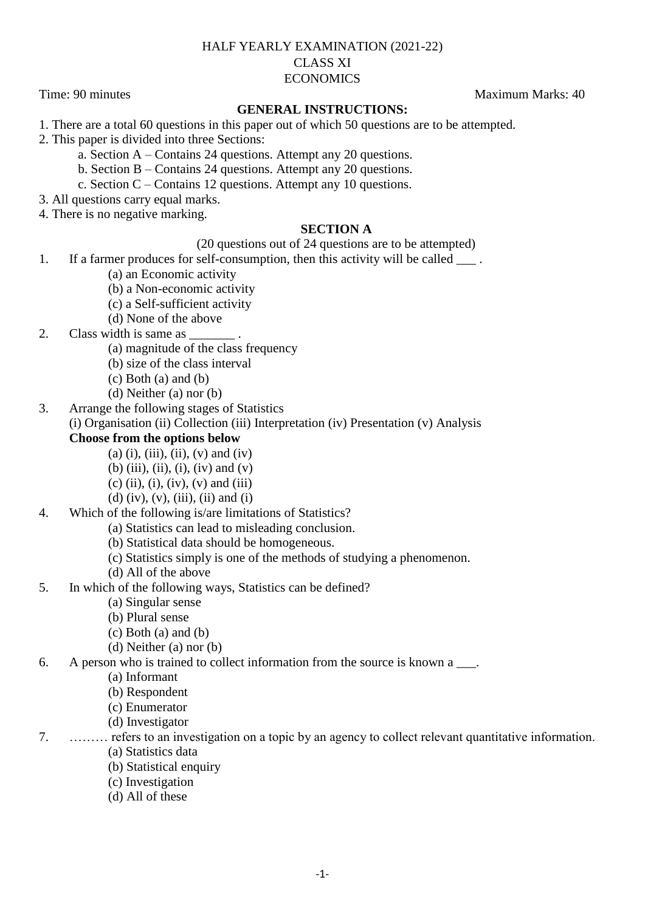## HALF YEARLY EXAMINATION (2021-22) CLASS XI **ECONOMICS**

Time: 90 minutes Maximum Marks: 40

## **GENERAL INSTRUCTIONS:**

1. There are a total 60 questions in this paper out of which 50 questions are to be attempted.

2. This paper is divided into three Sections:

a. Section A – Contains 24 questions. Attempt any 20 questions.

b. Section B – Contains 24 questions. Attempt any 20 questions.

c. Section C – Contains 12 questions. Attempt any 10 questions.

3. All questions carry equal marks.

4. There is no negative marking.

## **SECTION A**

(20 questions out of 24 questions are to be attempted)

1. If a farmer produces for self-consumption, then this activity will be called  $\blacksquare$ .

- (a) an Economic activity
- (b) a Non-economic activity
- (c) a Self-sufficient activity
- (d) None of the above

2. Class width is same as

(a) magnitude of the class frequency

- (b) size of the class interval
- (c) Both (a) and (b)
- (d) Neither (a) nor (b)
- 3. Arrange the following stages of Statistics

(i) Organisation (ii) Collection (iii) Interpretation (iv) Presentation (v) Analysis

## **Choose from the options below**

- $(a)$  (i), (iii), (ii), (v) and (iv)
- (b) (iii), (ii), (i), (iv) and (v)
- $(c)$  (ii), (i), (iv), (v) and (iii)
- (d) (iv), (v), (iii), (ii) and (i)

4. Which of the following is/are limitations of Statistics?

- (a) Statistics can lead to misleading conclusion.
- (b) Statistical data should be homogeneous.
- (c) Statistics simply is one of the methods of studying a phenomenon.
- (d) All of the above
- 5. In which of the following ways, Statistics can be defined?
	- (a) Singular sense
	- (b) Plural sense
	- $(c)$  Both  $(a)$  and  $(b)$
	- (d) Neither (a) nor (b)

### 6. A person who is trained to collect information from the source is known a \_\_\_.

(a) Informant

- (b) Respondent
- (c) Enumerator
- (d) Investigator

7. ……… refers to an investigation on a topic by an agency to collect relevant quantitative information.

- (a) Statistics data
- (b) Statistical enquiry
- (c) Investigation
- (d) All of these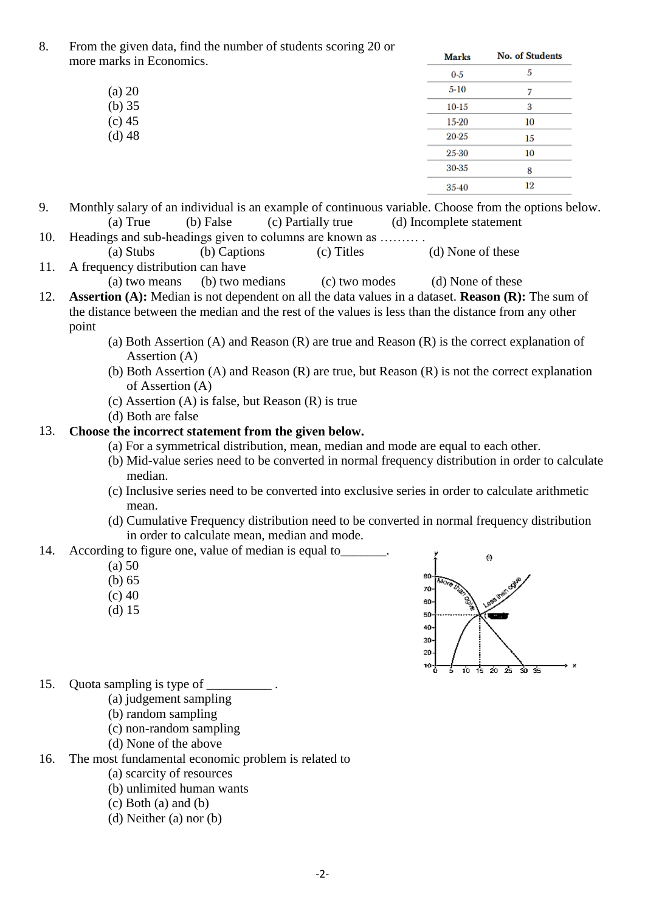8. From the given data, find the number of students scoring 20 or more n

| $0-5$     | 5  |
|-----------|----|
| $5 - 10$  |    |
| $10 - 15$ | 3  |
| 15-20     | 10 |
| 20-25     | 15 |
| 25-30     | 10 |
| 30-35     | 8  |
| 35-40     | 12 |
|           |    |

- 9. Monthly salary of an individual is an example of continuous variable. Choose from the options below. (a) True (b) False (c) Partially true (d) Incomplete statement
- 10. Headings and sub-headings given to columns are known as ……… . (a) Stubs (b) Captions (c) Titles (d) None of these
- 11. A frequency distribution can have (a) two means (b) two medians (c) two modes (d) None of these
- 12. **Assertion (A):** Median is not dependent on all the data values in a dataset. **Reason (R):** The sum of the distance between the median and the rest of the values is less than the distance from any other point
	- (a) Both Assertion (A) and Reason (R) are true and Reason (R) is the correct explanation of Assertion (A)
	- (b) Both Assertion (A) and Reason (R) are true, but Reason (R) is not the correct explanation of Assertion (A)
	- (c) Assertion (A) is false, but Reason (R) is true
	- (d) Both are false

# 13. **Choose the incorrect statement from the given below.**

- (a) For a symmetrical distribution, mean, median and mode are equal to each other.
- (b) Mid-value series need to be converted in normal frequency distribution in order to calculate median.
- (c) Inclusive series need to be converted into exclusive series in order to calculate arithmetic mean.
- (d) Cumulative Frequency distribution need to be converted in normal frequency distribution in order to calculate mean, median and mode.

14. According to figure one, value of median is equal to

- $(a) 50$
- (b) 65
- $(c)$  40
- (d) 15



- 15. Quota sampling is type of
	- (a) judgement sampling
	- (b) random sampling
	- (c) non-random sampling
	- (d) None of the above
- 16. The most fundamental economic problem is related to
	- (a) scarcity of resources
	- (b) unlimited human wants
	- (c) Both (a) and (b)
	- (d) Neither (a) nor (b)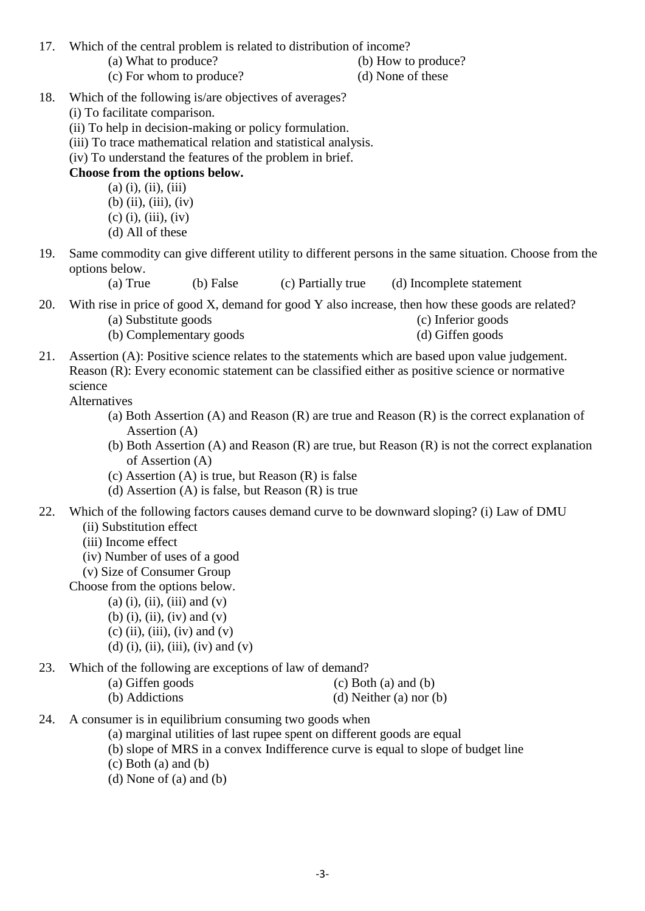17. Which of the central problem is related to distribution of income?

- (a) What to produce? (b) How to produce?
- (c) For whom to produce? (d) None of these

- 
- 18. Which of the following is/are objectives of averages?
	- (i) To facilitate comparison.
	- (ii) To help in decision-making or policy formulation.
	- (iii) To trace mathematical relation and statistical analysis.
	- (iv) To understand the features of the problem in brief.

# **Choose from the options below.**

 $(a)$  (i), (ii), (iii) (b) (ii), (iii), (iv)  $(c)$  (i), (iii), (iv) (d) All of these

19. Same commodity can give different utility to different persons in the same situation. Choose from the options below.

(a) True (b) False (c) Partially true (d) Incomplete statement

- 20. With rise in price of good X, demand for good Y also increase, then how these goods are related? (a) Substitute goods (c) Inferior goods
	- (b) Complementary goods (d) Giffen goods
		-
- 21. Assertion (A): Positive science relates to the statements which are based upon value judgement. Reason (R): Every economic statement can be classified either as positive science or normative science

Alternatives

- (a) Both Assertion (A) and Reason (R) are true and Reason (R) is the correct explanation of Assertion (A)
- (b) Both Assertion (A) and Reason (R) are true, but Reason (R) is not the correct explanation of Assertion (A)
- (c) Assertion (A) is true, but Reason (R) is false
- (d) Assertion (A) is false, but Reason (R) is true
- 22. Which of the following factors causes demand curve to be downward sloping? (i) Law of DMU (ii) Substitution effect
	- (iii) Income effect
	- (iv) Number of uses of a good
	- (v) Size of Consumer Group

Choose from the options below.

 $(a)$  (i), (ii), (iii) and  $(v)$  $(b)$  (i), (ii), (iv) and (v)

- $(c)$  (ii), (iii), (iv) and (v)
- (d) (i), (ii), (iii), (iv) and (v)

23. Which of the following are exceptions of law of demand?

| (a) Giffen goods | $(c)$ Both $(a)$ and $(b)$ |
|------------------|----------------------------|
| (b) Addictions   | (d) Neither (a) nor (b)    |

- 24. A consumer is in equilibrium consuming two goods when
	- (a) marginal utilities of last rupee spent on different goods are equal
	- (b) slope of MRS in a convex Indifference curve is equal to slope of budget line
	- (c) Both (a) and (b)
	- (d) None of (a) and (b)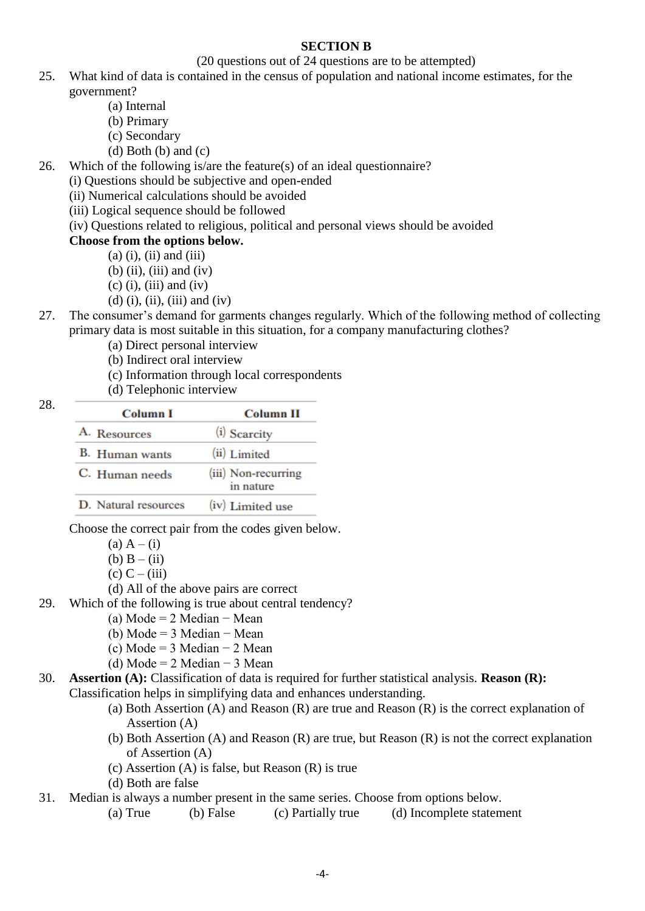## **SECTION B**

### (20 questions out of 24 questions are to be attempted)

- 25. What kind of data is contained in the census of population and national income estimates, for the government?
	- (a) Internal
	- (b) Primary
	- (c) Secondary
	- $(d)$  Both  $(b)$  and  $(c)$

26. Which of the following is/are the feature(s) of an ideal questionnaire?

(i) Questions should be subjective and open-ended

(ii) Numerical calculations should be avoided

(iii) Logical sequence should be followed

(iv) Questions related to religious, political and personal views should be avoided

# **Choose from the options below.**

- $(a)$  (i), (ii) and (iii)
- $(b)$  (ii), (iii) and (iv)
- $(c)$  (i), (iii) and (iv)
- $(d)$  (i), (ii), (iii) and (iv)
- 27. The consumer's demand for garments changes regularly. Which of the following method of collecting primary data is most suitable in this situation, for a company manufacturing clothes?
	- (a) Direct personal interview
	- (b) Indirect oral interview
	- (c) Information through local correspondents
	- (d) Telephonic interview

| Column I             | <b>Column II</b>                 |
|----------------------|----------------------------------|
| A. Resources         | (i) Scarcity                     |
| B. Human wants       | (ii) Limited                     |
| C. Human needs       | (iii) Non-recurring<br>in nature |
| D. Natural resources | (iv) Limited use                 |

Choose the correct pair from the codes given below.

- (a)  $A (i)$ (b)  $B - (ii)$
- $(c)$  C (iii)
- (d) All of the above pairs are correct
- 29. Which of the following is true about central tendency?
	- (a) Mode =  $2$  Median − Mean
		- (b) Mode = 3 Median − Mean
		- (c) Mode =  $3$  Median −  $2$  Mean
		- (d) Mode =  $2$  Median −  $3$  Mean
- 30. **Assertion (A):** Classification of data is required for further statistical analysis. **Reason (R):**  Classification helps in simplifying data and enhances understanding.
	- (a) Both Assertion (A) and Reason (R) are true and Reason (R) is the correct explanation of Assertion (A)
	- (b) Both Assertion (A) and Reason (R) are true, but Reason (R) is not the correct explanation of Assertion (A)
	- (c) Assertion (A) is false, but Reason (R) is true
	- (d) Both are false
- 31. Median is always a number present in the same series. Choose from options below.
	- (a) True (b) False (c) Partially true (d) Incomplete statement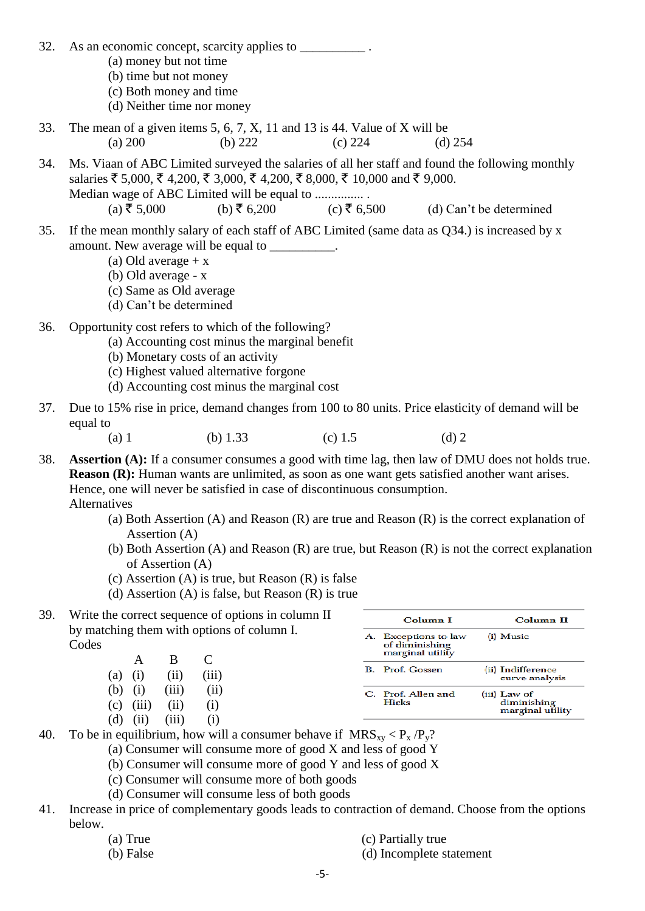32. As an economic concept, scarcity applies to  $\blacksquare$ (a) money but not time (b) time but not money (c) Both money and time (d) Neither time nor money 33. The mean of a given items 5, 6, 7, X, 11 and 13 is 44. Value of X will be (a) 200 (b) 222 (c) 224 (d) 254 34. Ms. Viaan of ABC Limited surveyed the salaries of all her staff and found the following monthly salaries ₹ 5,000, ₹ 4,200, ₹ 3,000, ₹ 4,200, ₹ 8,000, ₹ 10,000 and ₹ 9,000. Median wage of ABC Limited will be equal to ................ (a)  $\bar{z}$  5,000 (b)  $\bar{z}$  6,200 (c)  $\bar{z}$  6,500 (d) Can't be determined 35. If the mean monthly salary of each staff of ABC Limited (same data as Q34.) is increased by x amount. New average will be equal to  $\blacksquare$ (a) Old average  $+ x$ (b) Old average - x (c) Same as Old average (d) Can't be determined 36. Opportunity cost refers to which of the following? (a) Accounting cost minus the marginal benefit (b) Monetary costs of an activity (c) Highest valued alternative forgone (d) Accounting cost minus the marginal cost 37. Due to 15% rise in price, demand changes from 100 to 80 units. Price elasticity of demand will be equal to (a) 1 (b) 1.33 (c) 1.5 (d) 2 38. **Assertion (A):** If a consumer consumes a good with time lag, then law of DMU does not holds true. **Reason (R):** Human wants are unlimited, as soon as one want gets satisfied another want arises. Hence, one will never be satisfied in case of discontinuous consumption. Alternatives (a) Both Assertion (A) and Reason (R) are true and Reason (R) is the correct explanation of Assertion (A) (b) Both Assertion (A) and Reason (R) are true, but Reason (R) is not the correct explanation of Assertion (A) (c) Assertion  $(A)$  is true, but Reason  $(R)$  is false (d) Assertion (A) is false, but Reason (R) is true 39. Write the correct sequence of options in column II Column I  $Column II$ by matching them with options of column I. A. Exceptions to law (i) Music **Codes** of diminishing marginal utility A B C B. Prof. Gossen (ii) Indifference (a) (i) (iii) (iii) curve analysis (b) (i) (iii) (ii) C. Prof. Allen and (iii) Law of **Hicks** diminishing  $(c)$  (iii) (ii) (i) marginal utility  $(d)$  (ii) (iii) (i) 40. To be in equilibrium, how will a consumer behave if  $MRS_{xy} < P_x / P_y$ ? (a) Consumer will consume more of good X and less of good Y (b) Consumer will consume more of good Y and less of good X (c) Consumer will consume more of both goods (d) Consumer will consume less of both goods 41. Increase in price of complementary goods leads to contraction of demand. Choose from the options below. (a) True (c) Partially true (b) False (d) Incomplete statement

-5-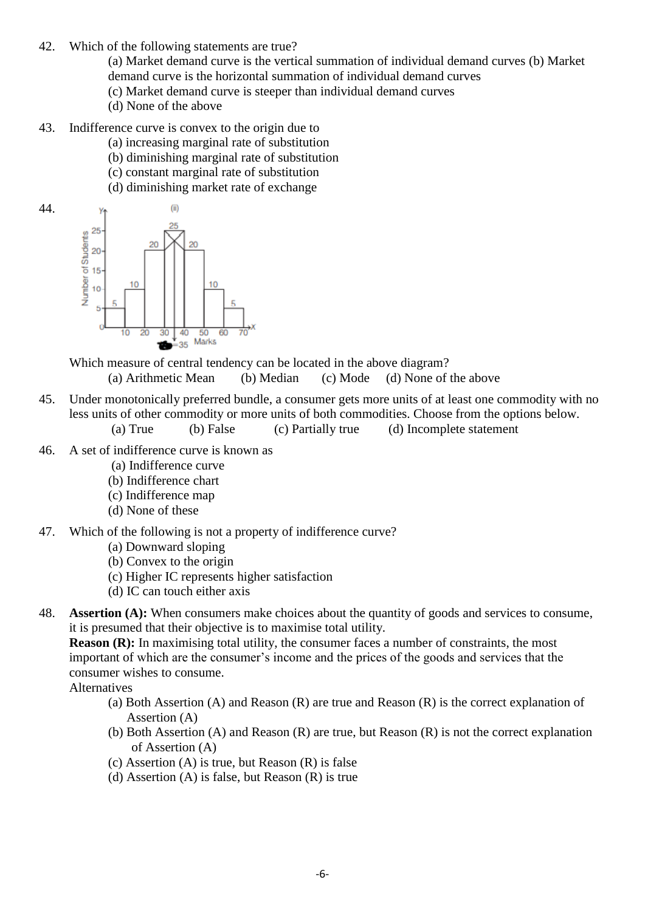42. Which of the following statements are true?

(a) Market demand curve is the vertical summation of individual demand curves (b) Market demand curve is the horizontal summation of individual demand curves

- (c) Market demand curve is steeper than individual demand curves
- (d) None of the above
- 43. Indifference curve is convex to the origin due to
	- (a) increasing marginal rate of substitution
	- (b) diminishing marginal rate of substitution
	- (c) constant marginal rate of substitution
	- (d) diminishing market rate of exchange



Which measure of central tendency can be located in the above diagram?

(a) Arithmetic Mean (b) Median (c) Mode (d) None of the above

- 45. Under monotonically preferred bundle, a consumer gets more units of at least one commodity with no less units of other commodity or more units of both commodities. Choose from the options below. (a) True (b) False (c) Partially true (d) Incomplete statement
- 46. A set of indifference curve is known as
	- (a) Indifference curve
	- (b) Indifference chart
	- (c) Indifference map
	- (d) None of these
- 47. Which of the following is not a property of indifference curve?
	- (a) Downward sloping
	- (b) Convex to the origin
	- (c) Higher IC represents higher satisfaction
	- (d) IC can touch either axis
- 48. **Assertion (A):** When consumers make choices about the quantity of goods and services to consume, it is presumed that their objective is to maximise total utility.

**Reason (R):** In maximising total utility, the consumer faces a number of constraints, the most important of which are the consumer's income and the prices of the goods and services that the consumer wishes to consume.

Alternatives

- (a) Both Assertion (A) and Reason (R) are true and Reason (R) is the correct explanation of Assertion (A)
- (b) Both Assertion (A) and Reason (R) are true, but Reason (R) is not the correct explanation of Assertion (A)
- (c) Assertion (A) is true, but Reason (R) is false
- (d) Assertion (A) is false, but Reason (R) is true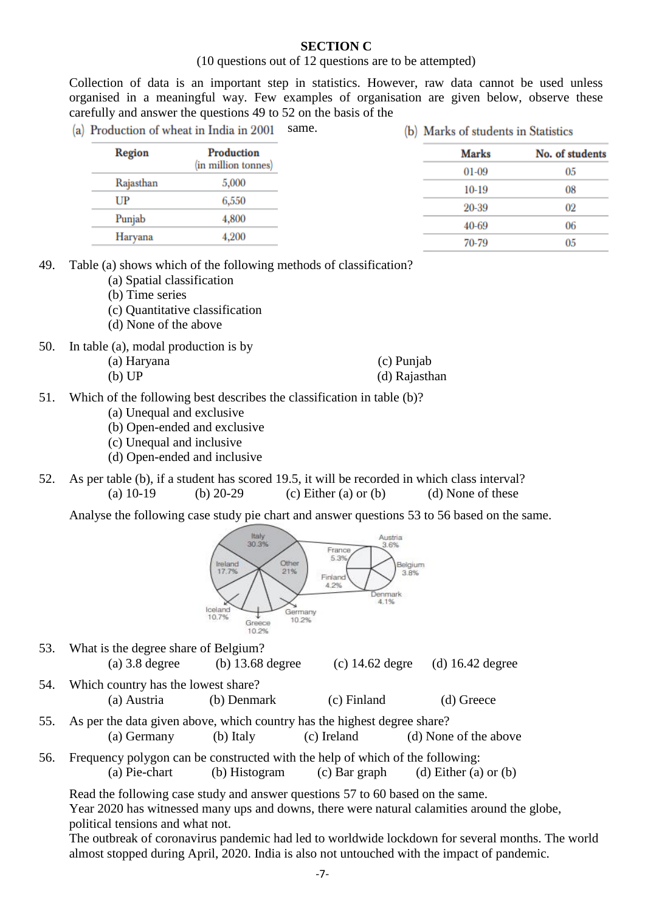### **SECTION C**

#### (10 questions out of 12 questions are to be attempted)

Collection of data is an important step in statistics. However, raw data cannot be used unless organised in a meaningful way. Few examples of organisation are given below, observe these carefully and answer the questions 49 to 52 on the basis of the

same. (a) Production of wheat in India in 2001

(b) Marks of students in Statistics

| Region    | Production<br>(in million tonnes) | <b>Marks</b> | No. of students |
|-----------|-----------------------------------|--------------|-----------------|
|           |                                   | 01-09        | 05              |
| Rajasthan | 5,000                             | $10-19$      | 08              |
| UP        | 6,550                             |              |                 |
|           |                                   | 20-39        | 02              |
| Punjab    | 4,800                             | 40-69        | 06              |
| Harvana   | 4,200                             | 70-79        | 05              |
|           |                                   |              |                 |

49. Table (a) shows which of the following methods of classification?

- (a) Spatial classification
- (b) Time series
- (c) Quantitative classification
- (d) None of the above

50. In table (a), modal production is by

| (a) Haryana | (c) Punjab    |
|-------------|---------------|
| (b) UP      | (d) Rajasthan |

- 51. Which of the following best describes the classification in table (b)?
	- (a) Unequal and exclusive
	- (b) Open-ended and exclusive
	- (c) Unequal and inclusive
	- (d) Open-ended and inclusive
- 52. As per table (b), if a student has scored 19.5, it will be recorded in which class interval? (a)  $10-19$  (b)  $20-29$  (c) Either (a) or (b) (d) None of these

Analyse the following case study pie chart and answer questions 53 to 56 based on the same.



- 53. What is the degree share of Belgium? (a) 3.8 degree (b) 13.68 degree (c) 14.62 degre (d) 16.42 degree 54. Which country has the lowest share?
	- (a) Austria (b) Denmark (c) Finland (d) Greece
- 55. As per the data given above, which country has the highest degree share? (a) Germany (b) Italy (c) Ireland (d) None of the above
- 56. Frequency polygon can be constructed with the help of which of the following: (a) Pie-chart (b) Histogram (c) Bar graph (d) Either (a) or (b)

Read the following case study and answer questions 57 to 60 based on the same.

Year 2020 has witnessed many ups and downs, there were natural calamities around the globe, political tensions and what not.

The outbreak of coronavirus pandemic had led to worldwide lockdown for several months. The world almost stopped during April, 2020. India is also not untouched with the impact of pandemic.